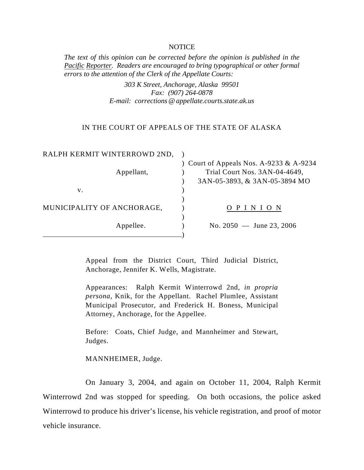## **NOTICE**

*The text of this opinion can be corrected before the opinion is published in the Pacific Reporter. Readers are encouraged to bring typographical or other formal errors to the attention of the Clerk of the Appellate Courts:* 

> *303 K Street, Anchorage, Alaska 99501 Fax: (907) 264-0878 E-mail: corrections @appellate.courts.state.ak.us*

## IN THE COURT OF APPEALS OF THE STATE OF ALASKA

| RALPH KERMIT WINTERROWD 2ND, |                                                                                                           |
|------------------------------|-----------------------------------------------------------------------------------------------------------|
| Appellant,                   | ) Court of Appeals Nos. A-9233 & A-9234<br>Trial Court Nos. 3AN-04-4649,<br>3AN-05-3893, & 3AN-05-3894 MO |
| V.                           |                                                                                                           |
| MUNICIPALITY OF ANCHORAGE,   | OPINION                                                                                                   |
| Appellee.                    | No. $2050 -$ June 23, 2006                                                                                |

Appeal from the District Court, Third Judicial District, Anchorage, Jennifer K. Wells, Magistrate.

Appearances: Ralph Kermit Winterrowd 2nd, *in propria persona*, Knik, for the Appellant. Rachel Plumlee, Assistant Municipal Prosecutor, and Frederick H. Boness, Municipal Attorney, Anchorage, for the Appellee.

Before: Coats, Chief Judge, and Mannheimer and Stewart, Judges.

MANNHEIMER, Judge.

On January 3, 2004, and again on October 11, 2004, Ralph Kermit Winterrowd 2nd was stopped for speeding. On both occasions, the police asked Winterrowd to produce his driver's license, his vehicle registration, and proof of motor vehicle insurance.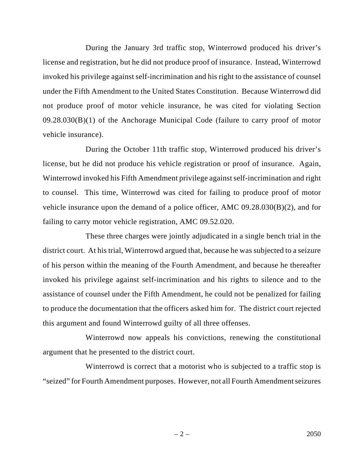During the January 3rd traffic stop, Winterrowd produced his driver's license and registration, but he did not produce proof of insurance. Instead, Winterrowd invoked his privilege against self-incrimination and his right to the assistance of counsel under the Fifth Amendment to the United States Constitution. Because Winterrowd did not produce proof of motor vehicle insurance, he was cited for violating Section 09.28.030(B)(1) of the Anchorage Municipal Code (failure to carry proof of motor vehicle insurance).

During the October 11th traffic stop, Winterrowd produced his driver's license, but he did not produce his vehicle registration or proof of insurance. Again, Winterrowd invoked his Fifth Amendment privilege against self-incrimination and right to counsel. This time, Winterrowd was cited for failing to produce proof of motor vehicle insurance upon the demand of a police officer, AMC 09.28.030(B)(2), and for failing to carry motor vehicle registration, AMC 09.52.020.

These three charges were jointly adjudicated in a single bench trial in the district court. At his trial, Winterrowd argued that, because he was subjected to a seizure of his person within the meaning of the Fourth Amendment, and because he thereafter invoked his privilege against self-incrimination and his rights to silence and to the assistance of counsel under the Fifth Amendment, he could not be penalized for failing to produce the documentation that the officers asked him for. The district court rejected this argument and found Winterrowd guilty of all three offenses.

Winterrowd now appeals his convictions, renewing the constitutional argument that he presented to the district court.

Winterrowd is correct that a motorist who is subjected to a traffic stop is "seized" for Fourth Amendment purposes. However, not all Fourth Amendment seizures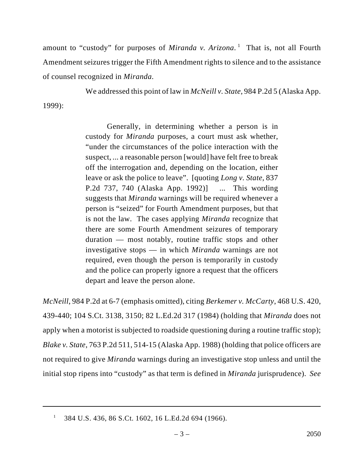amount to "custody" for purposes of *Miranda v. Arizona*.<sup>1</sup> That is, not all Fourth Amendment seizures trigger the Fifth Amendment rights to silence and to the assistance of counsel recognized in *Miranda*.

We addressed this point of law in *McNeill v. State*, 984 P.2d 5 (Alaska App.

1999):

Generally, in determining whether a person is in custody for *Miranda* purposes, a court must ask whether, "under the circumstances of the police interaction with the suspect, ... a reasonable person [would] have felt free to break off the interrogation and, depending on the location, either leave or ask the police to leave". [quoting *Long v. State*, 837 P.2d 737, 740 (Alaska App. 1992)] ... This wording suggests that *Miranda* warnings will be required whenever a person is "seized" for Fourth Amendment purposes, but that is not the law. The cases applying *Miranda* recognize that there are some Fourth Amendment seizures of temporary duration — most notably, routine traffic stops and other investigative stops — in which *Miranda* warnings are not required, even though the person is temporarily in custody and the police can properly ignore a request that the officers depart and leave the person alone.

*McNeill*, 984 P.2d at 6-7 (emphasis omitted), citing *Berkemer v. McCarty*, 468 U.S. 420, 439-440; 104 S.Ct. 3138, 3150; 82 L.Ed.2d 317 (1984) (holding that *Miranda* does not apply when a motorist is subjected to roadside questioning during a routine traffic stop); *Blake v. State*, 763 P.2d 511, 514-15 (Alaska App. 1988) (holding that police officers are not required to give *Miranda* warnings during an investigative stop unless and until the initial stop ripens into "custody" as that term is defined in *Miranda* jurisprudence). *See*

<sup>384</sup> U.S. 436, 86 S.Ct. 1602, 16 L.Ed.2d 694 (1966). <sup>1</sup>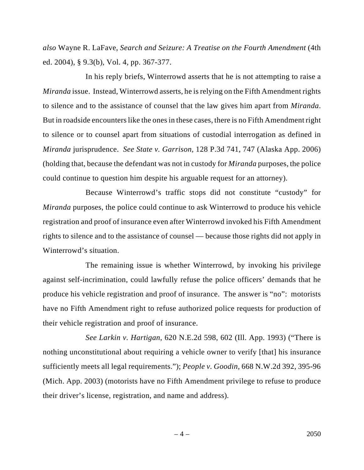*also* Wayne R. LaFave, *Search and Seizure: A Treatise on the Fourth Amendment* (4th ed. 2004), § 9.3(b), Vol. 4, pp. 367-377.

In his reply briefs, Winterrowd asserts that he is not attempting to raise a *Miranda* issue. Instead, Winterrowd asserts, he is relying on the Fifth Amendment rights to silence and to the assistance of counsel that the law gives him apart from *Miranda*. But in roadside encounters like the ones in these cases, there is no Fifth Amendment right to silence or to counsel apart from situations of custodial interrogation as defined in *Miranda* jurisprudence. *See State v. Garrison*, 128 P.3d 741, 747 (Alaska App. 2006) (holding that, because the defendant was not in custody for *Miranda* purposes, the police could continue to question him despite his arguable request for an attorney).

Because Winterrowd's traffic stops did not constitute "custody" for *Miranda* purposes, the police could continue to ask Winterrowd to produce his vehicle registration and proof of insurance even after Winterrowd invoked his Fifth Amendment rights to silence and to the assistance of counsel — because those rights did not apply in Winterrowd's situation.

The remaining issue is whether Winterrowd, by invoking his privilege against self-incrimination, could lawfully refuse the police officers' demands that he produce his vehicle registration and proof of insurance. The answer is "no": motorists have no Fifth Amendment right to refuse authorized police requests for production of their vehicle registration and proof of insurance.

*See Larkin v. Hartigan*, 620 N.E.2d 598, 602 (Ill. App. 1993) ("There is nothing unconstitutional about requiring a vehicle owner to verify [that] his insurance sufficiently meets all legal requirements."); *People v. Goodin*, 668 N.W.2d 392, 395-96 (Mich. App. 2003) (motorists have no Fifth Amendment privilege to refuse to produce their driver's license, registration, and name and address).